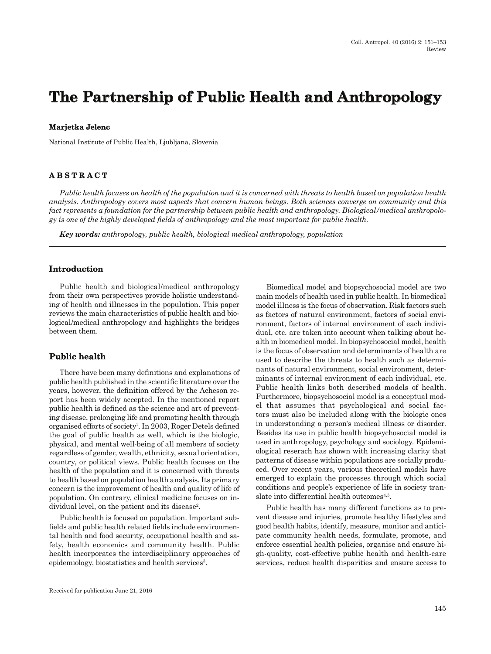# The Partnership of Public Health and Anthropology

#### **Marjetka Jelenc arjetk a Jelen c**

National Institute of Public Health, Ljubljana, Slovenia

# **ABSTRACT BSTRACT**

*Public health focuses on health of the population and it is concerned with threats to health based on population health analysis. Anthropology covers most aspects that concern human beings. Both sciences converge on community and this fact represents a foundation for the partnership between public health and anthropology. Biological/medical anthropology is one of the highly developed fi elds of anthropology and the most important for public health.*

*Key words: anthropology, public health, biological medical anthropology, population*

#### **Introduction ntr oduction**

Public health and biological/medical anthropology from their own perspectives provide holistic understanding of health and illnesses in the population. This paper reviews the main characteristics of public health and biological/medical anthropology and highlights the bridges between them.

# **Public health u blic health**

There have been many definitions and explanations of public health published in the scienti fi c literature over the years, however, the definition offered by the Acheson report has been widely accepted. In the mentioned report public health is defined as the science and art of preventing disease, prolonging life and promoting health through organised efforts of society<sup>1</sup>. In 2003, Roger Detels defined the goal of public health as well, which is the biologic, physical, and mental well-being of all members of society regardless of gender, wealth, ethnicity, sexual orientation, country, or political views. Public health focuses on the health of the population and it is concerned with threats to health based on population health analysis. Its primary concern is the improvement of health and quality of life of population. On contrary, clinical medicine focuses on individual level, on the patient and its disease<sup>2</sup>.

Public health is focused on population. Important subfields and public health related fields include environmental health and food security, occupational health and safety, health economics and community health. Public health incorporates the interdisciplinary approaches of epidemiology, biostatistics and health services<sup>3</sup>.

Biomedical model and biopsychosocial model are two main models of health used in public health. In biomedical model illness is the focus of observation. Risk factors such as factors of natural environment, factors of social environment, factors of internal environment of each individual, etc. are taken into account when talking about health in biomedical model. In biopsychosocial model, health is the focus of observation and determinants of health are used to describe the threats to health such as determinants of natural environment, social environment, determinants of internal environment of each individual, etc. Public health links both described models of health. Furthermore, biopsychosocial model is a conceptual model that assumes that psychological and social factors must also be included along with the biologic ones in understanding a person's medical illness or disorder. Besides its use in public health biopsychosocial model is used in anthropology, psychology and sociology. Epidemiological reserach has shown with increasing clarity that patterns of disease within populations are socially produced. Over recent years, various theoretical models have emerged to explain the processes through which social conditions and people's experience of life in society translate into differential health outcomes<sup>4,5</sup>.

Public health has many different functions as to prevent disease and injuries, promote healthy lifestyles and good health habits, identify, measure, monitor and anticipate community health needs, formulate, promote, and enforce essential health policies, organise and ensure high-quality, cost-effective public health and health-care services, reduce health disparities and ensure access to

Received for publication June 21, 2016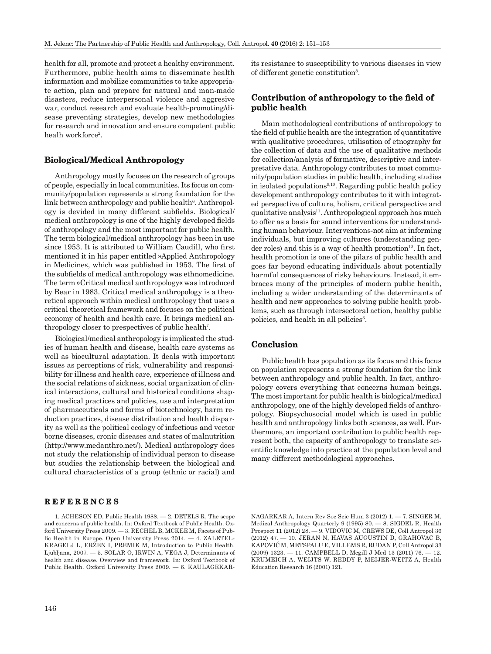health for all, promote and protect a healthy environment. Furthermore, public health aims to disseminate health information and mobilize communities to take appropriate action, plan and prepare for natural and man-made disasters, reduce interpersonal violence and aggresive war, conduct research and evaluate health-promoting/disease preventing strategies, develop new methodologies for research and innovation and ensure competent public healh workforce<sup>2</sup>.

# **Biological/Medical Anthropology iolo gic al/M e dic al A nth r o p olo g y**

Anthropology mostly focuses on the research of groups of people, especially in local communities. Its focus on community/population represents a strong foundation for the  $link between anthropology and public health<sup>6</sup>. Anthrop.$ ogy is devided in many different subfields. Biological/ medical anthropology is one of the highly developed fields of anthropology and the most important for public health. The term biological/medical anthropology has been in use since 1953. It is attributed to William Caudill, who first mentioned it in his paper entitled »Applied Anthropology in Medicine«, which was published in 1953. The first of the subfields of medical anthropology was ethnomedicine. The term »Critical medical anthropology« was introduced by Bear in 1983. Critical medical anthropology is a theoretical approach within medical anthropology that uses a critical theoretical framework and focuses on the political economy of health and health care. It brings medical anthropology closer to prespectives of public health7 .

Biological/medical anthropology is implicated the studies of human health and disease, health care systems as well as biocultural adaptation. It deals with important issues as perceptions of risk, vulnerability and responsibility for illness and health care, experience of illness and the social relations of sickness, social organization of clinical interactions, cultural and historical conditions shaping medical practices and policies, use and interpretation of pharmaceuticals and forms of biotechnology, harm reduction practices, disease distribution and health disparity as well as the political ecology of infectious and vector borne diseases, cronic diseases and states of malnutrition (http://www.medanthro.net/). Medical anthropology does not study the relationship of individual person to disease but studies the relationship between the biological and cultural characteristics of a group (ethnic or racial) and

#### **REFERENCES EFERENCES**

1. ACHESON ED, Public Health 1988. — 2. DETELS R, The scope and concerns of public health. In: Oxford Textbook of Public Health. Oxford University Press 2009. — 3. RECHEL B, MCKEE M, Facets of Public Health in Europe. Open University Press 2014. — 4. ZALETEL-KRAGELJ L, ERŽEN I, PREMIK M, Introduction to Public Health. Ljubljana, 2007. — 5. SOLAR O, IRWIN A, VEGA J, Determinants of health and disease. Overview and framework. In: Oxford Textbook of Public Health. Oxford University Press 2009. — 6. KAULAGEKAR-

its resistance to susceptibility to various diseases in view of different genetic constitution<sup>8</sup>.

# $\bf{Continution of anthropology\ to\ the\ field\ of\ }$ **public health <sup>u</sup> blic h e alth**

Main methodological contributions of anthropology to the field of public health are the integration of quantitative with qualitative procedures, utilisation of etnography for the collection of data and the use of qualitative methods for collection/analysis of formative, descriptive and interpretative data. Anthropology contributes to most community/population studies in public health, including studies in isolated populations<sup>9,10</sup>. Regarding public health policy development anthropology contributes to it with integrated perspective of culture, holism, critical perspective and qualitative analysis<sup>11</sup>. Anthropological approach has much to offer as a basis for sound interventions for understanding human behaviour. Interventions-not aim at informing individuals, but improving cultures (understanding gender roles) and this is a way of health promotion<sup>12</sup>. In fact, health promotion is one of the pilars of public health and goes far beyond educating individuals about potentially harmful consequences of risky behaviours. Instead, it embraces many of the principles of modern public health, including a wider understanding of the determinants of health and new approaches to solving public health problems, such as through intersectoral action, healthy public policies, and health in all policies<sup>3</sup>.

#### **Conclusion o nclusion**

Public health has population as its focus and this focus on population represents a strong foundation for the link between anthropology and public health. In fact, anthropology covers everything that concerns human beings. The most important for public health is biological/medical anthropology, one of the highly developed fields of anthropology. Biopsychosocial model which is used in public health and anthropology links both sciences, as well. Furthermore, an important contribution to public health represent both, the capacity of anthropology to translate scientific knowledge into practice at the population level and many different methodological approaches.

NAGARKAR A, Intern<br/> Rev Soc Scie Hum 3 (2012)<br> $1. -7.$  SINGER M, Medical Anthropology Quarterly 9 (1995)<br> 80.  $-$ 8. SIGDEL R, Health Prospect 11 (2012)<br> 28.  $-$ 9. VIDOVIC M, CREWS DE, Coll Antropol<br/> 36 (2012)<br> $47. -$